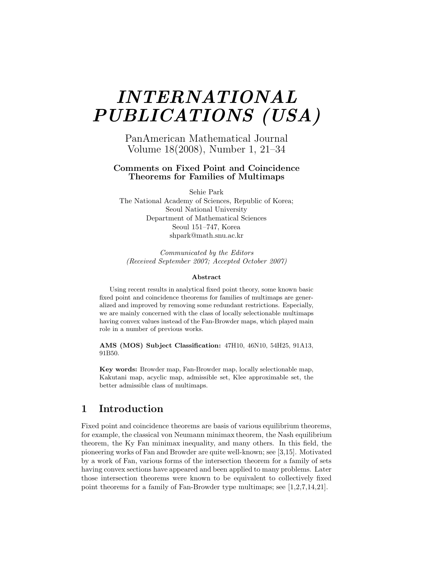# *INTERNATIONAL PUBLICATIONS (USA)*

PanAmerican Mathematical Journal Volume 18(2008), Number 1, 21–34

#### **Comments on Fixed Point and Coincidence Theorems for Families of Multimaps**

Sehie Park

The National Academy of Sciences, Republic of Korea; Seoul National University Department of Mathematical Sciences Seoul 151–747, Korea shpark@math.snu.ac.kr

*Communicated by the Editors (Received September 2007; Accepted October 2007)*

#### **Abstract**

Using recent results in analytical fixed point theory, some known basic fixed point and coincidence theorems for families of multimaps are generalized and improved by removing some redundant restrictions. Especially, we are mainly concerned with the class of locally selectionable multimaps having convex values instead of the Fan-Browder maps, which played main role in a number of previous works.

**AMS (MOS) Subject Classification:** 47H10, 46N10, 54H25, 91A13, 91B50.

**Key words:** Browder map, Fan-Browder map, locally selectionable map, Kakutani map, acyclic map, admissible set, Klee approximable set, the better admissible class of multimaps.

## **1 Introduction**

Fixed point and coincidence theorems are basis of various equilibrium theorems, for example, the classical von Neumann minimax theorem, the Nash equilibrium theorem, the Ky Fan minimax inequality, and many others. In this field, the pioneering works of Fan and Browder are quite well-known; see [3,15]. Motivated by a work of Fan, various forms of the intersection theorem for a family of sets having convex sections have appeared and been applied to many problems. Later those intersection theorems were known to be equivalent to collectively fixed point theorems for a family of Fan-Browder type multimaps; see [1,2,7,14,21].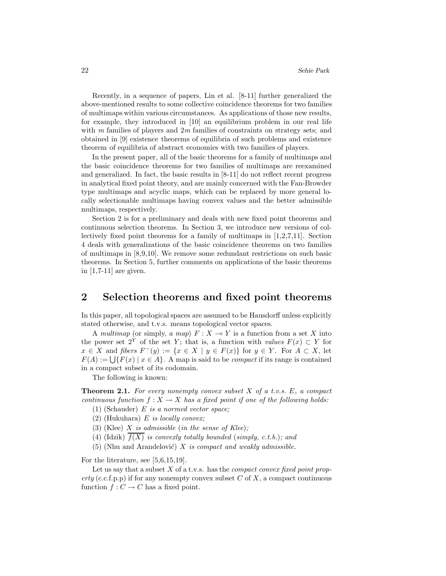Recently, in a sequence of papers, Lin et al. [8-11] further generalized the above-mentioned results to some collective coincidence theorems for two families of multimaps within various circumstances. As applications of those new results, for example, they introduced in [10] an equilibrium problem in our real life with *m* families of players and 2*m* families of constraints on strategy sets; and obtained in [9] existence theorems of equilibria of such problems and existence theorem of equilibria of abstract economies with two families of players.

In the present paper, all of the basic theorems for a family of multimaps and the basic coincidence theorems for two families of multimaps are reexamined and generalized. In fact, the basic results in [8-11] do not reflect recent progress in analytical fixed point theory, and are mainly concerned with the Fan-Browder type multimaps and acyclic maps, which can be replaced by more general locally selectionable multimaps having convex values and the better admissible multimaps, respectively.

Section 2 is for a preliminary and deals with new fixed point theorems and continuous selection theorems. In Section 3, we introduce new versions of collectively fixed point theorems for a family of multimaps in [1,2,7,11]. Section 4 deals with generalizations of the basic coincidence theorems on two families of multimaps in [8,9,10]. We remove some redundant restrictions on such basic theorems. In Section 5, further comments on applications of the basic theorems in [1,7-11] are given.

# **2 Selection theorems and fixed point theorems**

In this paper, all topological spaces are assumed to be Hausdorff unless explicitly stated otherwise, and t.v.s. means topological vector spaces.

A *multimap* (or simply, *a map*)  $F: X \rightarrow Y$  is a function from a set X into the power set  $2^Y$  of the set *Y*; that is, a function with *values*  $F(x) \subset Y$  for  $x \in X$  and *fibers*  $F^-(y) := \{x \in X \mid y \in F(x)\}$  for  $y \in Y$ . For  $A \subset X$ , let  $F(A) := \bigcup \{ F(x) \mid x \in A \}.$  A map is said to be *compact* if its range is contained in a compact subset of its codomain.

The following is known:

**Theorem 2.1.** *For every nonempty convex subset X of a t.v.s. E, a compact continuous function*  $f: X \to X$  *has a fixed point if one of the following holds:* 

- (1) (Schauder) *E is a normed vector space;*
- (2) (Hukuhara) *E is locally convex;*
- (3) (Klee) *X is admissible* (*in the sense of Klee*)*;*
- (4) (Idzik)  $\overline{f(X)}$  *is convexly totally bounded* (*simply, c.t.b.*)*; and*
- (5) (Nhu and Arandelović)  $X$  *is compact and weakly admissible.*

For the literature, see [5,6,15,19].

Let us say that a subset *X* of a t.v.s. has the *compact convex fixed point property* (c.c.f.p.p) if for any nonempty convex subset  $C$  of  $X$ , a compact continuous function  $f: C \to C$  has a fixed point.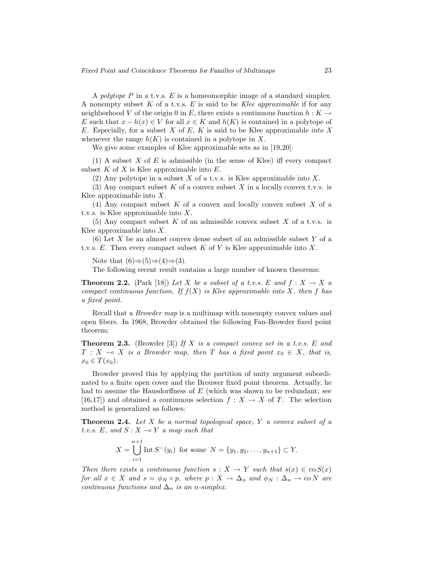A *polytope P* in a t.v.s. *E* is a homeomorphic image of a standard simplex. A nonempty subset *K* of a t.v.s. *E* is said to be *Klee approximable* if for any neighborhood *V* of the origin 0 in *E*, there exists a continuous function  $h: K \to$ *E* such that  $x - h(x) \in V$  for all  $x \in K$  and  $h(K)$  is contained in a polytope of *E*. Especially, for a subset *X* of *E*, *K* is said to be Klee approximable *into X* whenever the range  $h(K)$  is contained in a polytope in X.

We give some examples of Klee approximable sets as in [19,20]:

(1) A subset *X* of *E* is admissible (in the sense of Klee) iff every compact subset *K* of *X* is Klee approximable into *E*.

(2) Any polytope in a subset *X* of a t.v.s. is Klee approximable into *X*.

(3) Any compact subset *K* of a convex subset *X* in a locally convex t.v.s. is Klee approximable into *X*.

(4) Any compact subset *K* of a convex and locally convex subset *X* of a t.v.s. is Klee approximable into *X*.

(5) Any compact subset *K* of an admissible convex subset *X* of a t.v.s. is Klee approximable into *X*.

(6) Let *X* be an almost convex dense subset of an admissible subset *Y* of a t.v.s. *E*. Then every compact subset *K* of *Y* is Klee approximable into *X*.

Note that  $(6) \Rightarrow (5) \Rightarrow (4) \Rightarrow (3)$ .

The following recent result contains a large number of known theorems:

**Theorem 2.2.** (Park [18]) Let *X* be a subset of a t.v.s. E and  $f: X \to X$  a *compact continuous function. If*  $f(X)$  *is Klee approximable into X, then f has a fixed point.*

Recall that a *Browder map* is a multimap with nonempty convex values and open fibers. In 1968, Browder obtained the following Fan-Browder fixed point theorem:

**Theorem 2.3.** (Browder [3]) *If X is a compact convex set in a t.v.s. E and*  $T: X \rightarrow X$  *is a Browder map, then T has a fixed point*  $x_0 \in X$ *, that is,*  $x_0 \in T(x_0)$ .

Browder proved this by applying the partition of unity argument subordinated to a finite open cover and the Brouwer fixed point theorem. Actually, he had to assume the Hausdorffness of *E* (which was shown to be redundant; see [16,17]) and obtained a continuous selection  $f: X \to X$  of *T*. The selection method is generalized as follows:

**Theorem 2.4.** *Let X be a normal topological space, Y a convex subset of a t.v.s.*  $E$ *, and*  $S: X \rightarrow Y$  *a map such that* 

$$
X = \bigcup_{i=1}^{n+1} \text{Int } S^-(y_i) \text{ for some } N = \{y_1, y_2, \dots, y_{n+1}\} \subset Y.
$$

*Then there exists a continuous function*  $s: X \to Y$  *such that*  $s(x) \in \cos(x)$ *for all*  $x \in X$  *and*  $s = \phi_N \circ p$ *, where*  $p: X \to \Delta_n$  *and*  $\phi_N: \Delta_n \to \infty$  *N are continuous functions and*  $\Delta_n$  *is an n-simplex.*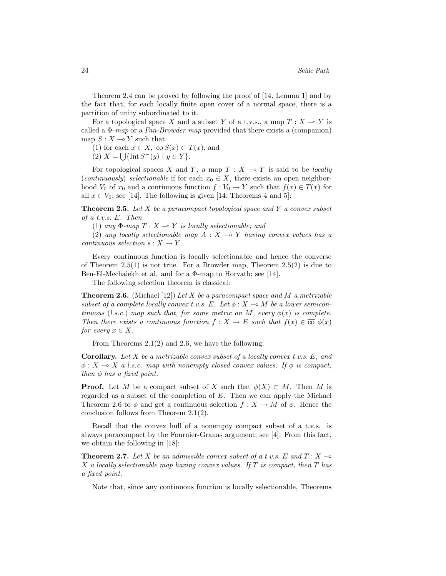Theorem 2.4 can be proved by following the proof of [14, Lemma 1] and by the fact that, for each locally finite open cover of a normal space, there is a partition of unity subordinated to it.

For a topological space X and a subset Y of a t.v.s., a map  $T: X \to Y$  is called a Φ-*map* or a *Fan-Browder map* provided that there exists a (companion) map  $S: X \longrightarrow Y$  such that

- (1) for each  $x \in X$ , co  $S(x) \subset T(x)$ ; and
- $(2)$  *X* =  $\bigcup \{\text{Int } S^{-}(y) \mid y \in Y\}.$

For topological spaces *X* and *Y*, a map  $T : X \rightarrow Y$  is said to be *locally* (*continuously*) *selectionable* if for each  $x_0 \in X$ , there exists an open neighborhood  $V_0$  of  $x_0$  and a continuous function  $f: V_0 \to Y$  such that  $f(x) \in T(x)$  for all  $x \in V_0$ ; see [14]. The following is given [14, Theorems 4 and 5]:

**Theorem 2.5.** *Let X be a paracompact topological space and Y a convex subset of a t.v.s. E. Then*

(1) *any*  $\Phi$ *-map*  $T: X \rightarrow Y$  *is locally selectionable; and* 

(2) any locally selectionable map  $A: X \rightarrow Y$  having convex values has a *continuous selection*  $s: X \to Y$ .

Every continuous function is locally selectionable and hence the converse of Theorem  $2.5(1)$  is not true. For a Browder map, Theorem  $2.5(2)$  is due to Ben-El-Mechaiekh et al. and for a Φ-map to Horvath; see [14].

The following selection theorem is classical:

**Theorem 2.6.** (Michael [12]) *Let X be a paracompact space and M a metrizable subset of a complete locally convex t.v.s.*  $E$ *. Let*  $\phi$  :  $X \to M$  *be a lower semicontinuous* (*l.s.c.*) *map such that, for some metric on*  $M$ *, every*  $\phi(x)$  *is complete. Then there exists a continuous function*  $f: X \to E$  *such that*  $f(x) \in \overline{\mathfrak{co}} \phi(x)$ *for every*  $x \in X$ *.* 

From Theorems 2.1(2) and 2.6, we have the following:

**Corollary.** *Let X be a metrizable convex subset of a locally convex t.v.s. E, and*  $\phi: X \to X$  a l.s.c. map with nonempty closed convex values. If  $\phi$  is compact, *then*  $\phi$  *has a fixed point.* 

**Proof.** Let *M* be a compact subset of *X* such that  $\phi(X) \subset M$ . Then *M* is regarded as a subset of the completion of *E*. Then we can apply the Michael Theorem 2.6 to  $\phi$  and get a continuous selection  $f: X \to M$  of  $\phi$ . Hence the conclusion follows from Theorem 2.1(2).

Recall that the convex hull of a nonempty compact subset of a t.v.s. is always paracompact by the Fournier-Granas argument; see [4]. From this fact, we obtain the following in [18]:

**Theorem 2.7.** Let *X* be an admissible convex subset of a t.v.s. E and  $T: X \rightarrow$ *X a locally selectionable map having convex values. If T is compact, then T has a fixed point.*

Note that, since any continuous function is locally selectionable, Theorems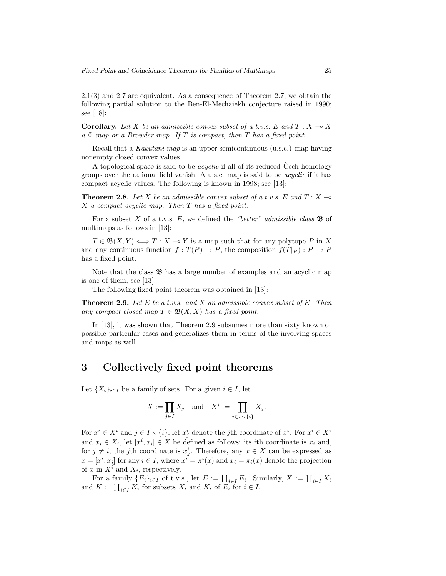2.1(3) and 2.7 are equivalent. As a consequence of Theorem 2.7, we obtain the following partial solution to the Ben-El-Mechaiekh conjecture raised in 1990; see [18]:

**Corollary.** Let X be an admissible convex subset of a t.v.s. E and  $T: X \rightarrow X$ *a* Φ*-map or a Browder map. If T is compact, then T has a fixed point.*

Recall that a *Kakutani map* is an upper semicontinuous (u.s.c.) map having nonempty closed convex values.

A topological space is said to be *acyclic* if all of its reduced Cech homology groups over the rational field vanish. A u.s.c. map is said to be *acyclic* if it has compact acyclic values. The following is known in 1998; see [13]:

**Theorem 2.8.** Let *X* be an admissible convex subset of a t.v.s. E and  $T: X \rightarrow$ *X a compact acyclic map. Then T has a fixed point.*

For a subset *X* of a t.v.s. *E*, we defined the *"better" admissible class* B of multimaps as follows in [13]:

 $T \in \mathfrak{B}(X, Y) \Longleftrightarrow T : X \rightarrow Y$  is a map such that for any polytope *P* in X and any continuous function  $f: T(P) \to P$ , the composition  $f(T|_P) : P \to P$ has a fixed point.

Note that the class  $\mathfrak{B}$  has a large number of examples and an acyclic map is one of them; see [13].

The following fixed point theorem was obtained in [13]:

**Theorem 2.9.** *Let E be a t.v.s. and X an admissible convex subset of E. Then any compact closed map*  $T \in \mathfrak{B}(X,X)$  *has a fixed point.* 

In [13], it was shown that Theorem 2.9 subsumes more than sixty known or possible particular cases and generalizes them in terms of the involving spaces and maps as well.

## **3 Collectively fixed point theorems**

Let  ${X_i}_{i \in I}$  be a family of sets. For a given  $i \in I$ , let

$$
X := \prod_{j \in I} X_j \quad \text{and} \quad X^i := \prod_{j \in I \smallsetminus \{i\}} X_j.
$$

For  $x^i \in X^i$  and  $j \in I \setminus \{i\}$ , let  $x^i_j$  denote the *j*th coordinate of  $x^i$ . For  $x^i \in X^i$ and  $x_i \in X_i$ , let  $[x^i, x_i] \in X$  be defined as follows: its *i*th coordinate is  $x_i$  and, for  $j \neq i$ , the *j*th coordinate is  $x_j^i$ . Therefore, any  $x \in X$  can be expressed as  $x = [x^i, x_i]$  for any  $i \in I$ , where  $x^i = \pi^i(x)$  and  $x_i = \pi_i(x)$  denote the projection of  $x$  in  $X^i$  and  $X_i$ , respectively.

For a family  ${E_i}_{i\in I}$  of t.v.s., let  $E := \prod_{i\in I} E_i$ . Similarly,  $X := \prod_{i\in I} X_i$ and  $K := \prod_{i \in I} K_i$  for subsets  $X_i$  and  $K_i$  of  $E_i$  for  $i \in I$ .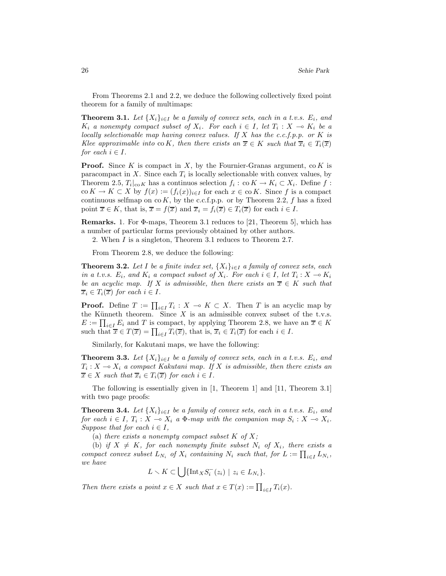From Theorems 2.1 and 2.2, we deduce the following collectively fixed point theorem for a family of multimaps:

**Theorem 3.1.** *Let*  $\{X_i\}_{i\in I}$  *be a family of convex sets, each in a t.v.s.*  $E_i$ *, and K*<sub>i</sub> *a* nonempty compact subset of  $X_i$ . For each  $i \in I$ , let  $T_i : X \to K_i$  be a *locally selectionable map having convex values. If X has the c.c.f.p.p. or K is Klee approximable into* co *K, then there exists an*  $\overline{x} \in K$  *such that*  $\overline{x}_i \in T_i(\overline{x})$ *for each*  $i \in I$ *.* 

**Proof.** Since *K* is compact in *X*, by the Fournier-Granas argument, co *K* is paracompact in *X*. Since each  $T_i$  is locally selectionable with convex values, by Theorem 2.5,  $T_i|_{\text{co }K}$  has a continuos selection  $f_i : \text{co }K \to K_i \subset X_i$ . Define  $f$ :  $\operatorname{co} K \to K \subset X$  by  $f(x) := (f_i(x))_{i \in I}$  for each  $x \in \operatorname{co} K$ . Since f is a compact continuous selfmap on  $\cos K$ , by the c.c.f.p.p. or by Theorem 2.2,  $f$  has a fixed point  $\overline{x} \in K$ , that is,  $\overline{x} = f(\overline{x})$  and  $\overline{x}_i = f_i(\overline{x}) \in T_i(\overline{x})$  for each  $i \in I$ .

**Remarks.** 1. For Φ-maps, Theorem 3.1 reduces to [21, Theorem 5], which has a number of particular forms previously obtained by other authors.

2. When *I* is a singleton, Theorem 3.1 reduces to Theorem 2.7.

From Theorem 2.8, we deduce the following:

**Theorem 3.2.** Let I be a finite index set,  $\{X_i\}_{i\in I}$  a family of convex sets, each *in a t.v.s.*  $E_i$ *, and*  $K_i$  *a compact subset of*  $X_i$ *. For each*  $i \in I$ *, let*  $T_i : X \to K_i$ *be an acyclic map.* If *X is admissible, then there exists an*  $\overline{x} \in K$  *such that*  $\overline{x}_i \in T_i(\overline{x})$  *for each*  $i \in I$ *.* 

**Proof.** Define  $T := \prod_{i \in I} T_i : X \to K \subset X$ . Then *T* is an acyclic map by the Künneth theorem. Since  $X$  is an admissible convex subset of the t.v.s.  $E := \prod_{i \in I} E_i$  and *T* is compact, by applying Theorem 2.8, we have an  $\overline{x} \in K$ such that  $\overline{x} \in T(\overline{x}) = \prod_{i \in I} T_i(\overline{x})$ , that is,  $\overline{x}_i \in T_i(\overline{x})$  for each  $i \in I$ .

Similarly, for Kakutani maps, we have the following:

**Theorem 3.3.** Let  $\{X_i\}_{i\in I}$  be a family of convex sets, each in a t.v.s.  $E_i$ , and  $T_i: X \longrightarrow X_i$  *a compact Kakutani map. If X is admissible, then there exists an*  $\overline{x} \in X$  *such that*  $\overline{x}_i \in T_i(\overline{x})$  *for each*  $i \in I$ *.* 

The following is essentially given in [1, Theorem 1] and [11, Theorem 3.1] with two page proofs:

**Theorem 3.4.** *Let*  $\{X_i\}_{i\in I}$  *be a family of convex sets, each in a t.v.s.*  $E_i$ *, and for each*  $i \in I$ ,  $T_i : X \to X_i$  *a*  $\Phi$ *-map with the companion map*  $S_i : X \to X_i$ . *Suppose that for each*  $i \in I$ ,

(a) *there exists a nonempty compact subset*  $K$  *of*  $X$ *;* 

(b) *if*  $X \neq K$ *, for each nonempty finite subset*  $N_i$  *of*  $X_i$ *, there exists a compact convex subset*  $L_{N_i}$  *of*  $X_i$  *containing*  $N_i$  *such that, for*  $L := \prod_{i \in I} L_{N_i}$ , *we have*

$$
L \setminus K \subset \bigcup \{ \text{Int}_X S_i^-(z_i) \mid z_i \in L_{N_i} \}.
$$

*Then there exists a point*  $x \in X$  *such that*  $x \in T(x) := \prod_{i \in I} T_i(x)$ *.*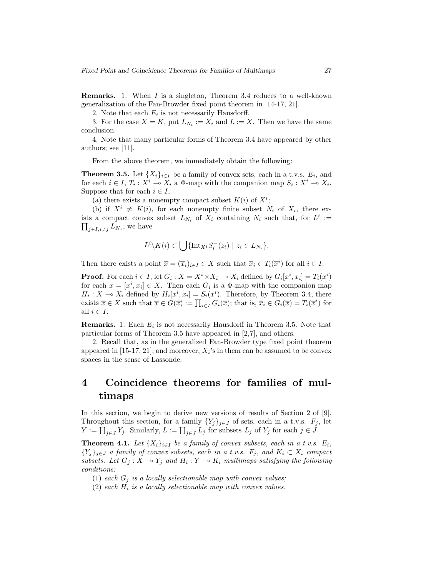**Remarks.** 1. When *I* is a singleton, Theorem 3.4 reduces to a well-known generalization of the Fan-Browder fixed point theorem in [14-17, 21].

2. Note that each  $E_i$  is not necessarily Hausdorff.

3. For the case  $X = K$ , put  $L_{N_i} := X_i$  and  $L := X$ . Then we have the same conclusion.

4. Note that many particular forms of Theorem 3.4 have appeared by other authors; see [11].

From the above theorem, we immediately obtain the following:

**Theorem 3.5.** Let  $\{X_i\}_{i\in I}$  be a family of convex sets, each in a t.v.s.  $E_i$ , and for each  $i \in I$ ,  $T_i : X^i \to X_i$  a  $\Phi$ -map with the companion map  $S_i : X^i \to X_i$ . Suppose that for each  $i \in I$ ,

(a) there exists a nonempty compact subset  $K(i)$  of  $X^i$ ;

(b) if  $X^i \neq K(i)$ , for each nonempty finite subset  $N_i$  of  $X_i$ , there exists a compact convex subset  $L_{N_i}$  of  $X_i$  containing  $N_i$  such that, for  $L^i := \prod_{i=1}^n L_{N_i}$  we have  $\prod_{j\in I,i\neq j}L_{N_j}$ , we have

$$
L^i \backslash K(i) \subset \bigcup \{ \text{Int}_{X^i} S_i^- (z_i) \mid z_i \in L_{N_i} \}.
$$

Then there exists a point  $\overline{x} = (\overline{x}_i)_{i \in I} \in X$  such that  $\overline{x}_i \in T_i(\overline{x}^i)$  for all  $i \in I$ .

**Proof.** For each  $i \in I$ , let  $G_i$ :  $X = X^i \times X_i \to X_i$  defined by  $G_i[x^i, x_i] = T_i(x^i)$ for each  $x = [x^i, x_i] \in X$ . Then each  $G_i$  is a  $\Phi$ -map with the companion map  $H_i: X \to X_i$  defined by  $H_i[x^i, x_i] = S_i(x^i)$ . Therefore, by Theorem 3.4, there exists  $\overline{x} \in X$  such that  $\overline{x} \in G(\overline{x}) := \prod_{i \in I} G_i(\overline{x})$ ; that is,  $\overline{x}_i \in G_i(\overline{x}) = T_i(\overline{x}^i)$  for all  $i \in I$ .

**Remarks.** 1. Each  $E_i$  is not necessarily Hausdorff in Theorem 3.5. Note that particular forms of Theorem 3.5 have appeared in [2,7], and others.

2. Recall that, as in the generalized Fan-Browder type fixed point theorem appeared in [15-17, 21]; and moreover,  $X_i$ 's in them can be assumed to be convex spaces in the sense of Lassonde.

# **4 Coincidence theorems for families of multimaps**

In this section, we begin to derive new versions of results of Section 2 of [9]. Throughout this section, for a family  ${Y_j}_{j\in J}$  of sets, each in a t.v.s.  $F_j$ , let  $Y := \prod_{j \in J} Y_j$ . Similarly,  $L := \prod_{j \in J} L_j$  for subsets  $L_j$  of  $Y_j$  for each  $j \in J$ .

**Theorem 4.1.** *Let*  $\{X_i\}_{i\in I}$  *be a family of convex subsets, each in a t.v.s.*  $E_i$ ,  ${Y_i}_{i \in J}$  *a family of convex subsets, each in a t.v.s.*  $F_j$ *, and*  $K_i \subset X_i$  *compact subsets.* Let  $G_j: X \to Y_j$  and  $H_i: Y \to K_i$  multimaps satisfying the following *conditions:*

(1) *each*  $G_j$  *is a locally selectionable map with convex values;* 

 $(2)$  *each*  $H_i$  *is a locally selectionable map with convex values.*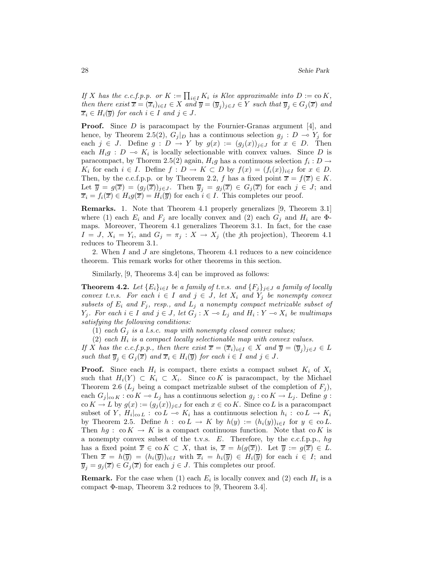*If X has the c.c.f.p.p. or*  $K := \prod_{i \in I} K_i$  *is Klee approximable into*  $D := \text{co } K$ *, then there exist*  $\overline{x} = (\overline{x}_i)_{i \in I} \in X$  *and*  $\overline{y} = (\overline{y}_j)_{j \in J} \in Y$  *such that*  $\overline{y}_j \in G_j(\overline{x})$  *and*  $\overline{x}_i \in H_i(\overline{y})$  *for each*  $i \in I$  *and*  $j \in J$ *.* 

**Proof.** Since D is paracompact by the Fournier-Granas argument [4], and hence, by Theorem 2.5(2),  $G_j|_D$  has a continuous selection  $g_j : D \to Y_j$  for each  $j \in J$ . Define  $g : D \to Y$  by  $g(x) := (g_j(x))_{j \in J}$  for  $x \in D$ . Then each  $H_i g : D \multimap K_i$  is locally selectionable with convex values. Since *D* is paracompact, by Thorem 2.5(2) again,  $H_i g$  has a continuous selection  $f_i : D \to$ *K*<sub>i</sub> for each  $i \in I$ . Define  $f: D \to K \subset D$  by  $f(x) = (f_i(x))_{i \in I}$  for  $x \in D$ . Then, by the c.c.f.p.p. or by Theorem 2.2, *f* has a fixed point  $\overline{x} = f(\overline{x}) \in K$ . Let  $\overline{y} = g(\overline{x}) = (g_j(\overline{x}))_{j \in J}$ . Then  $\overline{y}_j = g_j(\overline{x}) \in G_j(\overline{x})$  for each  $j \in J$ ; and  $\overline{x}_i = f_i(\overline{x}) \in H_i g(\overline{x}) = H_i(\overline{y})$  for each  $i \in I$ . This completes our proof.

**Remarks.** 1. Note that Theorem 4.1 properly generalizes [9, Theorem 3.1] where (1) each  $E_i$  and  $F_j$  are locally convex and (2) each  $G_j$  and  $H_i$  are  $\Phi$ maps. Moreover, Theorem 4.1 generalizes Theorem 3.1. In fact, for the case  $I = J$ ,  $X_i = Y_i$ , and  $G_j = \pi_j : X \to X_j$  (the *j*th projection), Theorem 4.1 reduces to Theorem 3.1.

2. When *I* and *J* are singletons, Theorem 4.1 reduces to a new coincidence theorem. This remark works for other theorems in this section.

Similarly, [9, Theorems 3.4] can be improved as follows:

**Theorem 4.2.** *Let*  ${E_i}_{i \in I}$  *be a family of t.v.s. and*  ${F_j}_{j \in J}$  *a family of locally convex t.v.s.* For each  $i \in I$  and  $j \in J$ , let  $X_i$  and  $Y_j$  be nonempty convex *subsets of*  $E_i$  *and*  $F_j$ *, resp., and*  $L_j$  *a nonempty compact metrizable subset of Y*<sub>j</sub>. For each *i* ∈ *I* and *j* ∈ *J*, let  $G_j$  :  $X \to L_j$  and  $H_i$  :  $Y \to X_i$  be multimaps *satisfying the following conditions:*

(1) *each*  $G_j$  *is a l.s.c. map with nonempty closed convex values;* 

(2) *each H*<sup>i</sup> *is a compact locally selectionable map with convex values.*

*If X has the c.c.f.p.p., then there exist*  $\overline{x} = (\overline{x}_i)_{i \in I} \in X$  *and*  $\overline{y} = (\overline{y}_i)_{i \in J} \in L$ *such that*  $\overline{y}_i \in G_j(\overline{x})$  *and*  $\overline{x}_i \in H_i(\overline{y})$  *for each*  $i \in I$  *and*  $j \in J$ *.* 

**Proof.** Since each  $H_i$  is compact, there exists a compact subset  $K_i$  of  $X_i$ such that  $H_i(Y) \subset K_i \subset X_i$ . Since co K is paracompact, by the Michael Theorem 2.6 ( $L_j$  being a compact metrizable subset of the completion of  $F_j$ ), each  $G_j|_{\text{co }K}$ : co  $K \to L_j$  has a continuous selection  $g_j : \text{co }K \to L_j$ . Define  $g :$  $\operatorname{co} K \to L$  by  $g(x) := (g_j(x))_{j \in J}$  for each  $x \in \operatorname{co} K$ . Since  $\operatorname{co} L$  is a paracompact subset of *Y*,  $H_i|_{\text{co }L}$  : co $L \to K_i$  has a continuous selection  $h_i$  : co $L \to K_i$ by Theorem 2.5. Define  $h : \text{co } L \to K$  by  $h(y) := (h_i(y))_{i \in I}$  for  $y \in \text{co } L$ . Then  $hg: \text{co } K \to K$  is a compact continuous function. Note that  $\text{co } K$  is a nonempty convex subset of the t.v.s. *E*. Therefore, by the c.c.f.p.p., *hg* has a fixed point  $\overline{x} \in \text{co } K \subset X$ , that is,  $\overline{x} = h(g(\overline{x}))$ . Let  $\overline{y} := g(\overline{x}) \in L$ . Then  $\overline{x} = h(\overline{y}) = (h_i(\overline{y}))_{i \in I}$  with  $\overline{x}_i = h_i(\overline{y}) \in H_i(\overline{y})$  for each  $i \in I$ ; and  $\overline{y}_i = g_j(\overline{x}) \in G_j(\overline{x})$  for each  $j \in J$ . This completes our proof.

**Remark.** For the case when (1) each  $E_i$  is locally convex and (2) each  $H_i$  is a compact Φ-map, Theorem 3.2 reduces to [9, Theorem 3.4].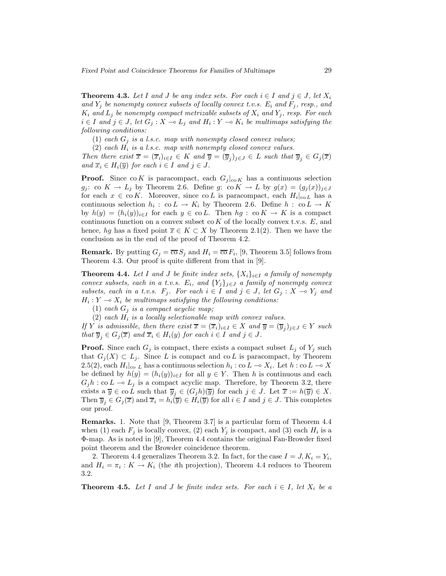**Theorem 4.3.** Let I and J be any index sets. For each  $i \in I$  and  $j \in J$ , let  $X_i$ *and*  $Y_i$  *be nonempty convex subsets of locally convex t.v.s.*  $E_i$  *and*  $F_i$ *, resp., and*  $K_i$  *and*  $L_j$  *be nonempty compact metrizable subsets of*  $X_i$  *and*  $Y_j$ *, resp. For each i* ∈ *I* and *j* ∈ *J*, let  $G_j$  :  $X \to L_j$  and  $H_i$  :  $Y \to K_i$  be multimaps satisfying the *following conditions:*

(1) *each*  $G_i$  *is a l.s.c. map with nonempty closed convex values;* 

(2) *each H*<sup>i</sup> *is a l.s.c. map with nonempty closed convex values.*

*Then there exist*  $\overline{x} = (\overline{x}_i)_{i \in I} \in K$  *and*  $\overline{y} = (\overline{y}_i)_{i \in J} \in L$  *such that*  $\overline{y}_i \in G_j(\overline{x})$ *and*  $\overline{x}_i \in H_i(\overline{y})$  *for each*  $i \in I$  *and*  $j \in J$ *.* 

**Proof.** Since co K is paracompact, each  $G_j|_{\text{co }K}$  has a continuous selection *g*<sub>j</sub>: co  $K \to L_j$  by Theorem 2.6. Define *g*: co  $K \to L$  by  $g(x) = (g_j(x))_{j \in J}$ for each  $x \in \text{co } K$ . Moreover, since  $\text{co } L$  is paracompact, each  $H_i|_{\text{co } L}$  has a continuous selection  $h_i : \text{co } L \to K_i$  by Theorem 2.6. Define  $h : \text{co } L \to K$ by  $h(y)=(h_i(y))_{i\in I}$  for each  $y\in \text{co } L$ . Then  $hg: \text{co } K\to K$  is a compact continuous function on a convex subset co *K* of the locally convex t.v.s. *E*, and hence, *hg* has a fixed point  $\overline{x} \in K \subset X$  by Theorem 2.1(2). Then we have the conclusion as in the end of the proof of Theorem 4.2.

**Remark.** By putting  $G_i = \overline{\infty} S_i$  and  $H_i = \overline{\infty} F_i$ , [9, Theorem 3.5] follows from Theorem 4.3. Our proof is quite different from that in [9].

**Theorem 4.4.** Let I and J be finite index sets,  $\{X_i\}_{i\in I}$  a family of nonempty *convex subsets, each in a t.v.s.*  $E_i$ , and  $\{Y_j\}_{j\in J}$  *a family of nonempty convex subsets, each in a t.v.s.*  $F_j$ *. For each*  $i \in I$  *and*  $j \in J$ *, let*  $G_j : X \to Y_j$  *and*  $H_i: Y \to X_i$  *be multimaps satisfying the following conditions:* 

(1) *each*  $G_j$  *is a compact acyclic map*;

(2) each  $H_i$  is a locally selectionable map with convex values.

*If Y is admissible, then there exist*  $\overline{x} = (\overline{x}_i)_{i \in I} \in X$  *and*  $\overline{y} = (\overline{y}_i)_{j \in J} \in Y$  *such that*  $\overline{y}_i \in G_j(\overline{x})$  *and*  $\overline{x}_i \in H_i(y)$  *for each*  $i \in I$  *and*  $j \in J$ *.* 

**Proof.** Since each  $G_j$  is compact, there exists a compact subset  $L_j$  of  $Y_j$  such that  $G_i(X) \subset L_i$ . Since *L* is compact and co*L* is paracompact, by Theorem 2.5(2), each  $H_i|_{\text{co } L}$  has a continuous selection  $h_i : \text{co } L \to X_i$ . Let  $h : \text{co } L \to X$ be defined by  $h(y)=(h_i(y))_{i\in I}$  for all  $y\in Y$ . Then *h* is continuous and each  $G_j h : \text{co } L \to L_j$  is a compact acyclic map. Therefore, by Theorem 3.2, there exists a  $\overline{y} \in \text{co } L$  such that  $\overline{y}_j \in (G_j h)(\overline{y})$  for each  $j \in J$ . Let  $\overline{x} := h(\overline{y}) \in X$ . Then  $\overline{y}_i \in G_j(\overline{x})$  and  $\overline{x}_i = h_i(\overline{y}) \in H_i(\overline{y})$  for all  $i \in I$  and  $j \in J$ . This completes our proof.

**Remarks.** 1. Note that [9, Theorem 3.7] is a particular form of Theorem 4.4 when (1) each  $F_j$  is locally convex, (2) each  $Y_j$  is compact, and (3) each  $H_i$  is a Φ-map. As is noted in [9], Theorem 4.4 contains the original Fan-Browder fixed point theorem and the Browder coincidence theorem.

2. Theorem 4.4 generalizes Theorem 3.2. In fact, for the case  $I = J, K_i = Y_i$ , and  $H_i = \pi_i : K \to K_i$  (the *i*th projection), Theorem 4.4 reduces to Theorem 3.2.

**Theorem 4.5.** Let I and J be finite index sets. For each  $i \in I$ , let  $X_i$  be a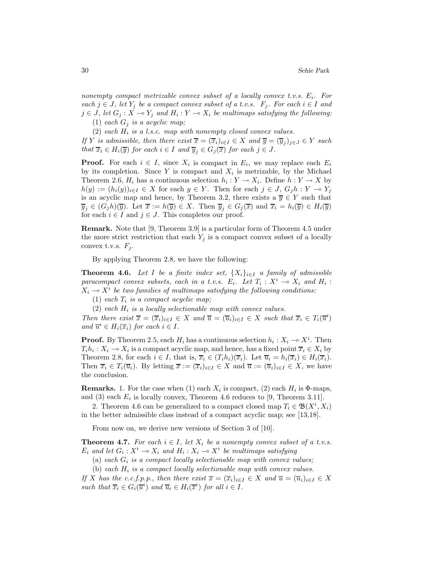*nonempty compact metrizable convex subset of a locally convex t.v.s. E*i*. For each*  $j$  ∈ *J, let*  $Y_j$  *be a compact convex subset of a t.v.s.*  $F_j$ *. For each*  $i$  ∈ *I and*  $j \in J$ , let  $G_j : X \to Y_j$  and  $H_i : Y \to X_i$  be multimaps satisfying the following: (1) *each*  $G_j$  *is a acyclic map*;

(2) *each H*<sup>i</sup> *is a l.s.c. map with nonempty closed convex values.*

*If Y is admissible, then there exist*  $\overline{x} = (\overline{x}_i)_{i \in I} \in X$  *and*  $\overline{y} = (\overline{y}_i)_{j \in J} \in Y$  *such that*  $\overline{x}_i \in H_i(\overline{y})$  *for each*  $i \in I$  *and*  $\overline{y}_j \in G_j(\overline{x})$  *for each*  $j \in J$ *.* 

**Proof.** For each  $i \in I$ , since  $X_i$  is compact in  $E_i$ , we may replace each  $E_i$ by its completion. Since  $Y$  is compact and  $X_i$  is metrizable, by the Michael Theorem 2.6,  $H_i$  has a continuous selection  $h_i: Y \to X_i$ . Define  $h: Y \to X$  by  $h(y) := (h_i(y))_{i \in I} \in X$  for each  $y \in Y$ . Then for each  $j \in J$ ,  $G_j h : Y \to Y_j$ is an acyclic map and hence, by Theorem 3.2, there exists a  $\overline{y} \in Y$  such that  $\overline{y}_i \in (G_i h)(\overline{y})$ . Let  $\overline{x} := h(\overline{y}) \in X$ . Then  $\overline{y}_i \in G_i(\overline{x})$  and  $\overline{x}_i = h_i(\overline{y}) \in H_i(\overline{y})$ for each  $i \in I$  and  $j \in J$ . This completes our proof.

**Remark.** Note that [9, Theorem 3.9] is a particular form of Theorem 4.5 under the more strict restriction that each  $Y_j$  is a compact convex subset of a locally convex t.v.s.  $F_j$ .

By applying Theorem 2.8, we have the following:

**Theorem 4.6.** *Let I be a finite index set,*  $\{X_i\}_{i\in I}$  *a family of admissible paracompact convex subsets, each in a t.v.s.*  $E_i$ . Let  $T_i: X^i \to X_i$  and  $H_i$ :  $X_i \to X^i$  *be two families of multimaps satisfying the following conditions:* 

(1) *each T*<sup>i</sup> *is a compact acyclic map;*

 $(2)$  *each*  $H_i$  *is a locally selectionable map with convex values.* 

*Then there exist*  $\overline{x} = (\overline{x}_i)_{i \in I} \in X$  *and*  $\overline{u} = (\overline{u}_i)_{i \in I} \in X$  *such that*  $\overline{x}_i \in T_i(\overline{u}^i)$ *and*  $\overline{u}^i \in H_i(\overline{x}_i)$  *for each*  $i \in I$ *.* 

**Proof.** By Theorem 2.5, each  $H_i$  has a continuous selection  $h_i: X_i \to X^i$ . Then  $T_i h_i : X_i \to X_i$  is a compact acyclic map, and hence, has a fixed point  $\overline{x}_i \in X_i$  by Theorem 2.8, for each  $i \in I$ , that is,  $\overline{x}_i \in (T_i h_i)(\overline{x}_i)$ . Let  $\overline{u}_i = h_i(\overline{x}_i) \in H_i(\overline{x}_i)$ . Then  $\overline{x}_i \in T_i(\overline{u}_i)$ . By letting  $\overline{x} := (\overline{x}_i)_{i \in I} \in X$  and  $\overline{u} := (\overline{u}_i)_{i \in I} \in X$ , we have the conclusion.

**Remarks.** 1. For the case when (1) each  $X_i$  is compact, (2) each  $H_i$  is  $\Phi$ -maps, and (3) each  $E_i$  is locally convex, Theorem 4.6 reduces to [9, Theorem 3.11].

2. Theorem 4.6 can be generalized to a compact closed map  $T_i \in \mathfrak{B}(X^i, X_i)$ in the better admissible class instead of a compact acyclic map; see [13,18].

From now on, we derive new versions of Section 3 of [10].

**Theorem 4.7.** *For each*  $i \in I$ *, let*  $X_i$  *be a nonempty convex subset of a t.v.s. E*<sub>i</sub> and let  $G_i$ :  $X^i \to X_i$  and  $H_i$ :  $X_i \to X^i$  be multimaps satisfying

(a) *each G*<sup>i</sup> *is a compact locally selectionable map with convex values;*

(b) *each H*<sup>i</sup> *is a compact locally selectionable map with convex values.*

*If X has the c.c.f.p.p., then there exist*  $\overline{x} = (\overline{x}_i)_{i \in I} \in X$  *and*  $\overline{u} = (\overline{u}_i)_{i \in I} \in X$ *such that*  $\overline{x}_i \in G_i(\overline{u}^i)$  *and*  $\overline{u}_i \in H_i(\overline{x}^i)$  *for all*  $i \in I$ *.*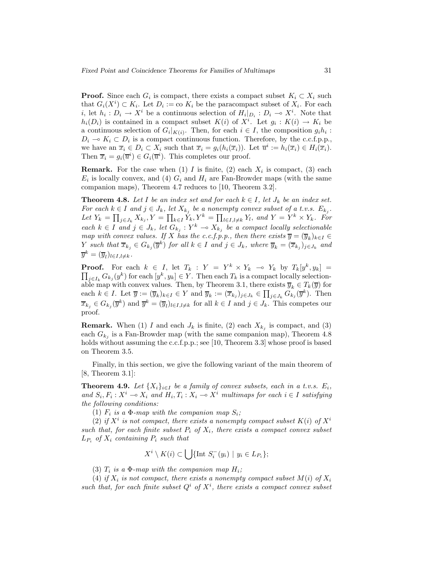**Proof.** Since each  $G_i$  is compact, there exists a compact subset  $K_i \subset X_i$  such that  $G_i(X^i) \subset K_i$ . Let  $D_i := \text{co } K_i$  be the paracompact subset of  $X_i$ . For each *i*, let  $h_i: D_i \to X^i$  be a continuous selection of  $H_i|_{D_i}: D_i \to X^i$ . Note that  $h_i(D_i)$  is contained in a compact subset  $K(i)$  of  $X^i$ . Let  $g_i: K(i) \to K_i$  be a continuous selection of  $G_i|_{K(i)}$ . Then, for each  $i \in I$ , the composition  $g_i h_i$ :  $D_i \multimap K_i \subset D_i$  is a compact continuous function. Therefore, by the c.c.f.p.p., we have an  $\overline{x}_i \in D_i \subset X_i$  such that  $\overline{x}_i = g_i(h_i(\overline{x}_i))$ . Let  $\overline{u}^i := h_i(\overline{x}_i) \in H_i(\overline{x}_i)$ . Then  $\overline{x}_i = g_i(\overline{u}^i) \in G_i(\overline{u}^i)$ . This completes our proof.

**Remark.** For the case when (1) *I* is finite, (2) each  $X_i$  is compact, (3) each  $E_i$  is locally convex, and (4)  $G_i$  and  $H_i$  are Fan-Browder maps (with the same companion maps), Theorem 4.7 reduces to [10, Theorem 3.2].

**Theorem 4.8.** Let  $I$  be an index set and for each  $k \in I$ , let  $J_k$  be an index set. *For each*  $k \in I$  *and*  $j \in J_k$ *, let*  $X_{k_j}$  *be a nonempty convex subset of a t.v.s.*  $E_{k_j}$ *.*  $Let Y_k = \prod_{j \in J_k} X_{k_j}, Y = \prod_{k \in I} Y_k, Y^k = \prod_{l \in I, l \neq k} Y_l, \text{ and } Y = Y^k \times Y_k.$  For *each*  $k \in I$  *and*  $j \in J_k$ , let  $G_{k_j}$  :  $Y^k \to X_{k_j}$  *be a compact locally selectionable map with convex values. If X has the c.c.f.p.p., then there exists*  $\overline{y} = (\overline{y}_k)_{k \in I} \in$ *Y such that*  $\overline{x}_{k_j} \in G_{k_j}(\overline{y}^k)$  *for all*  $k \in I$  *and*  $j \in J_k$ *, where*  $\overline{y}_k = (\overline{x}_{k_j})_{j \in J_k}$  *and*  $\overline{y}^k = (\overline{y}_l)_{l \in I, l \neq k}$ .

**Proof.** For each  $k \in I$ , let  $T_k$ :  $Y = Y^k \times Y_k \multimap Y_k$  by  $T_k[y^k, y_k] =$  $\prod_{j\in I_k} G_{k_j}(y^k)$  for each  $[y^k, y_k] \in Y$ . Then each  $T_k$  is a compact locally selectionable map with convex values. Then, by Theorem 3.1, there exists  $\overline{y}_k \in T_k(\overline{y})$  for each  $k \in I$ . Let  $\overline{y} := (\overline{y}_k)_{k \in I} \in Y$  and  $\overline{y}_k := (\overline{x}_{k_j})_{j \in J_k} \in \prod_{j \in J_k} G_{k_j}(\overline{y}^k)$ . Then  $\overline{x}_{k_j} \in G_{k_j}(\overline{y}^k)$  and  $\overline{y}^k = (\overline{y}_l)_{l \in I, l \neq k}$  for all  $k \in I$  and  $j \in J_k$ . This competes our proof.

**Remark.** When (1) *I* and each  $J_k$  is finite, (2) each  $X_{k_j}$  is compact, and (3) each  $G_{k_i}$  is a Fan-Browder map (with the same companion map), Theorem 4.8 holds without assuming the c.c.f.p.p.; see [10, Theorem 3.3] whose proof is based on Theorem 3.5.

Finally, in this section, we give the following variant of the main theorem of [8, Theorem 3.1]:

**Theorem 4.9.** *Let*  $\{X_i\}_{i\in I}$  *be a family of convex subsets, each in a t.v.s.*  $E_i$ , *and*  $S_i, F_i: X^i \to X_i$  and  $H_i, T_i: X_i \to X^i$  *multimaps for each*  $i \in I$  *satisfying the following conditions:*

(1)  $F_i$  *is a*  $\Phi$ *-map with the companion map*  $S_i$ ;

(2) *if*  $X^i$  *is not compact, there exists a nonempty compact subset*  $K(i)$  *of*  $X^i$ *such that, for each finite subset*  $P_i$  *of*  $X_i$ *, there exists a compact convex subset*  $L_{P_i}$  *of*  $X_i$  *containing*  $P_i$  *such that* 

$$
X^i \setminus K(i) \subset \bigcup \{ \text{Int } S_i^-(y_i) \mid y_i \in L_{P_i} \};
$$

(3)  $T_i$  *is a*  $\Phi$ *-map with the companion map*  $H_i$ ;

(4) *if*  $X_i$  *is not compact, there exists a nonempty compact subset*  $M(i)$  *of*  $X_i$ *such that, for each finite subset*  $Q^i$  *of*  $X^i$ *, there exists a compact convex subset*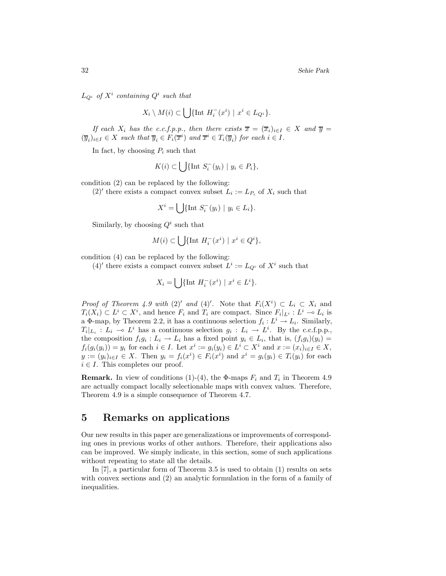$L_{Q}$ <sup>*i*</sup> *of*  $X$ <sup>*i*</sup> *containing*  $Q$ <sup>*i*</sup> *such that* 

$$
X_i \setminus M(i) \subset \bigcup \{ \text{Int } H_i^-(x^i) \mid x^i \in L_{Q^i} \}.
$$

*If each*  $X_i$  *has the c.c.f.p.p., then there exists*  $\overline{x} = (\overline{x}_i)_{i \in I} \in X$  *and*  $\overline{y} =$  $(\overline{y}_i)_{i \in I} \in X$  such that  $\overline{y}_i \in F_i(\overline{x}^i)$  and  $\overline{x}^i \in T_i(\overline{y}_i)$  for each  $i \in I$ .

In fact, by choosing  $P_i$  such that

$$
K(i) \subset \bigcup \{ \text{Int } S_i^-(y_i) \mid y_i \in P_i \},
$$

condition (2) can be replaced by the following:

 $(2)'$  there exists a compact convex subset  $L_i := L_{P_i}$  of  $X_i$  such that

$$
X^i = \bigcup \{ \text{Int } S_i^-(y_i) \mid y_i \in L_i \}.
$$

Similarly, by choosing  $Q^i$  such that

$$
M(i) \subset \bigcup \{ \text{Int } H_i^-(x^i) \mid x^i \in Q^i \},
$$

condition (4) can be replaced by the following:

(4)<sup>'</sup> there exists a compact convex subset  $L^i := L_{Q^i}$  of  $X^i$  such that

$$
X_i = \bigcup \{ \text{Int } H_i^-(x^i) \mid x^i \in L^i \}.
$$

*Proof of Theorem 4.9 with* (2)' *and* (4)'. Note that  $F_i(X^i) \subset L_i \subset X_i$  and  $T_i(X_i) \subset L^i \subset X^i$ , and hence  $F_i$  and  $T_i$  are compact. Since  $F_i|_{L^i} : L^i \to L_i$  is a  $\Phi$ -map, by Theorem 2.2, it has a continuous selection  $f_i : L^i \to L_i$ . Similarly,  $T_i|_{L_i} : L_i \to L^i$  has a continuous selection  $g_i : L_i \to L^i$ . By the c.c.f.p.p., the composition  $f_i g_i : L_i \to L_i$  has a fixed point  $y_i \in L_i$ , that is,  $(f_i g_i)(y_i) =$  $f_i(g_i(y_i)) = y_i$  for each  $i \in I$ . Let  $x^i := g_i(y_i) \in L^i \subset X^i$  and  $x := (x_i)_{i \in I} \in X$ , *y* :=  $(y_i)_{i \in I}$  ∈ *X*. Then  $y_i = f_i(x^i)$  ∈  $F_i(x^i)$  and  $x^i = g_i(y_i)$  ∈  $T_i(y_i)$  for each  $i \in I$ . This completes our proof.

**Remark.** In view of conditions (1)-(4), the  $\Phi$ -maps  $F_i$  and  $T_i$  in Theorem 4.9 are actually compact locally selectionable maps with convex values. Therefore, Theorem 4.9 is a simple consequence of Theorem 4.7.

### **5 Remarks on applications**

Our new results in this paper are generalizations or improvements of corresponding ones in previous works of other authors. Therefore, their applications also can be improved. We simply indicate, in this section, some of such applications without repeating to state all the details.

In [7], a particular form of Theorem 3.5 is used to obtain (1) results on sets with convex sections and (2) an analytic formulation in the form of a family of inequalities.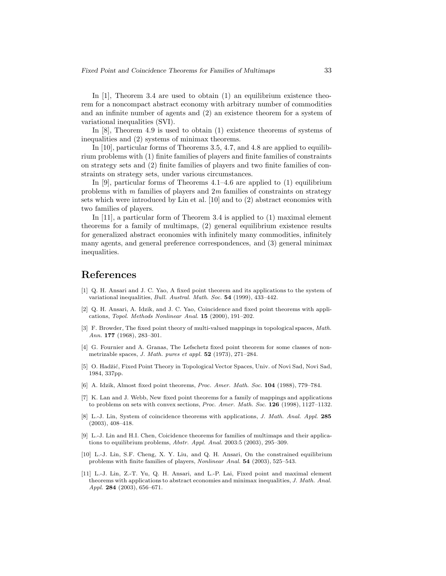In  $[1]$ , Theorem 3.4 are used to obtain  $(1)$  an equilibrium existence theorem for a noncompact abstract economy with arbitrary number of commodities and an infinite number of agents and (2) an existence theorem for a system of variational inequalities (SVI).

In [8], Theorem 4.9 is used to obtain (1) existence theorems of systems of inequalities and (2) systems of minimax theorems.

In [10], particular forms of Theorems 3.5, 4.7, and 4.8 are applied to equilibrium problems with (1) finite families of players and finite families of constraints on strategy sets and (2) finite families of players and two finite families of constraints on strategy sets, under various circumstances.

In [9], particular forms of Theorems  $4.1-4.6$  are applied to (1) equilibrium problems with *m* families of players and 2*m* families of constraints on strategy sets which were introduced by Lin et al. [10] and to (2) abstract economies with two families of players.

In [11], a particular form of Theorem 3.4 is applied to (1) maximal element theorems for a family of multimaps, (2) general equilibrium existence results for generalized abstract economies with infinitely many commodities, infinitely many agents, and general preference correspondences, and (3) general minimax inequalities.

# **References**

- [1] Q. H. Ansari and J. C. Yao, A fixed point theorem and its applications to the system of variational inequalities, *Bull. Austral. Math. Soc.* **54** (1999), 433–442.
- [2] Q. H. Ansari, A. Idzik, and J. C. Yao, Coincidence and fixed point theorems with applications, *Topol. Methods Nonlinear Anal.* **15** (2000), 191–202.
- [3] F. Browder, The fixed point theory of multi-valued mappings in topological spaces, *Math. Ann.* **177** (1968), 283–301.
- [4] G. Fournier and A. Granas, The Lefschetz fixed point theorem for some classes of nonmetrizable spaces, *J. Math. pures et appl.* **52** (1973), 271–284.
- [5] O. Hadžić, Fixed Point Theory in Topological Vector Spaces, Univ. of Novi Sad, Novi Sad, 1984, 337pp.
- [6] A. Idzik, Almost fixed point theorems, *Proc. Amer. Math. Soc.* **104** (1988), 779–784.
- [7] K. Lan and J. Webb, New fixed point theorems for a family of mappings and applications to problems on sets with convex sections, *Proc. Amer. Math. Soc.* **126** (1998), 1127–1132.
- [8] L.-J. Lin, System of coincidence theorems with applications, *J. Math. Anal. Appl.* **285** (2003), 408–418.
- [9] L.-J. Lin and H.I. Chen, Coicidence theorems for families of multimaps and their applications to equilibrium problems, *Abstr. Appl. Anal.* 2003:5 (2003), 295–309.
- [10] L.-J. Lin, S.F. Cheng, X. Y. Liu, and Q. H. Ansari, On the constrained equilibrium problems with finite families of players, *Nonlinear Anal.* **54** (2003), 525–543.
- [11] L.-J. Lin, Z.-T. Yu, Q. H. Ansari, and L.-P. Lai, Fixed point and maximal element theorems with applications to abstract economies and minimax inequalities, *J. Math. Anal. Appl.* **284** (2003), 656–671.